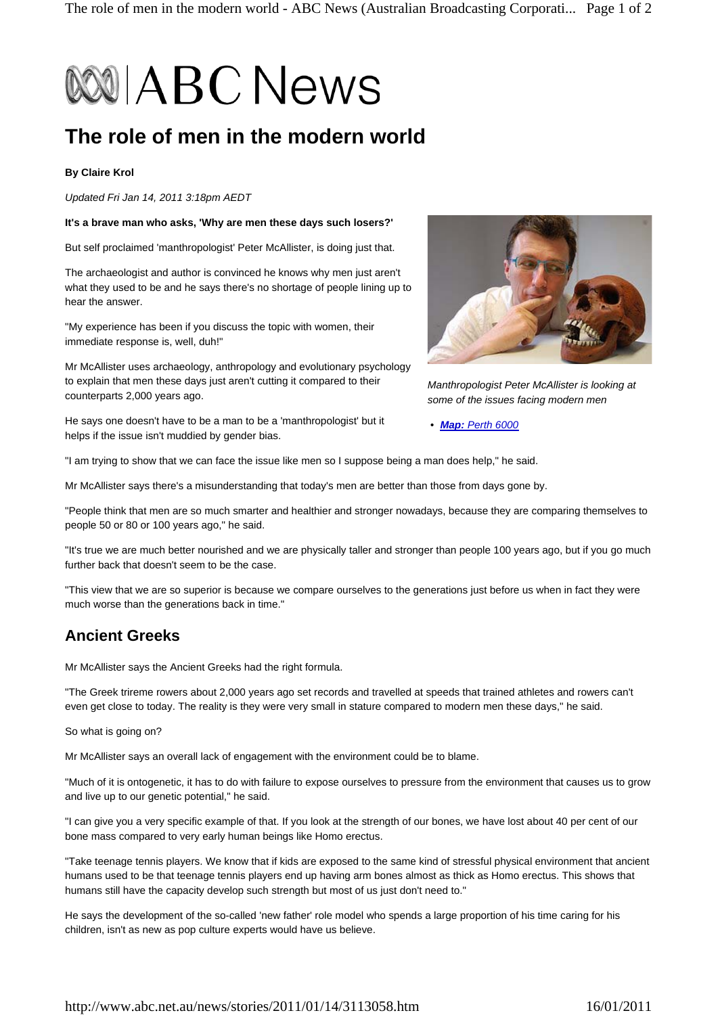# **BOOI ABC News**

# **The role of men in the modern world**

#### **By Claire Krol**

*Updated Fri Jan 14, 2011 3:18pm AEDT* 

**It's a brave man who asks, 'Why are men these days such losers?'**

But self proclaimed 'manthropologist' Peter McAllister, is doing just that.

The archaeologist and author is convinced he knows why men just aren't what they used to be and he says there's no shortage of people lining up to hear the answer.

"My experience has been if you discuss the topic with women, their immediate response is, well, duh!"

Mr McAllister uses archaeology, anthropology and evolutionary psychology to explain that men these days just aren't cutting it compared to their counterparts 2,000 years ago.



He says one doesn't have to be a man to be a 'manthropologist' but it helps if the issue isn't muddied by gender bias.

*• Map: Perth 6000*

"I am trying to show that we can face the issue like men so I suppose being a man does help," he said.

Mr McAllister says there's a misunderstanding that today's men are better than those from days gone by.

"People think that men are so much smarter and healthier and stronger nowadays, because they are comparing themselves to people 50 or 80 or 100 years ago," he said.

"It's true we are much better nourished and we are physically taller and stronger than people 100 years ago, but if you go much further back that doesn't seem to be the case.

"This view that we are so superior is because we compare ourselves to the generations just before us when in fact they were much worse than the generations back in time."

## **Ancient Greeks**

Mr McAllister says the Ancient Greeks had the right formula.

"The Greek trireme rowers about 2,000 years ago set records and travelled at speeds that trained athletes and rowers can't even get close to today. The reality is they were very small in stature compared to modern men these days," he said.

So what is going on?

Mr McAllister says an overall lack of engagement with the environment could be to blame.

"Much of it is ontogenetic, it has to do with failure to expose ourselves to pressure from the environment that causes us to grow and live up to our genetic potential," he said.

"I can give you a very specific example of that. If you look at the strength of our bones, we have lost about 40 per cent of our bone mass compared to very early human beings like Homo erectus.

"Take teenage tennis players. We know that if kids are exposed to the same kind of stressful physical environment that ancient humans used to be that teenage tennis players end up having arm bones almost as thick as Homo erectus. This shows that humans still have the capacity develop such strength but most of us just don't need to."

He says the development of the so-called 'new father' role model who spends a large proportion of his time caring for his children, isn't as new as pop culture experts would have us believe.